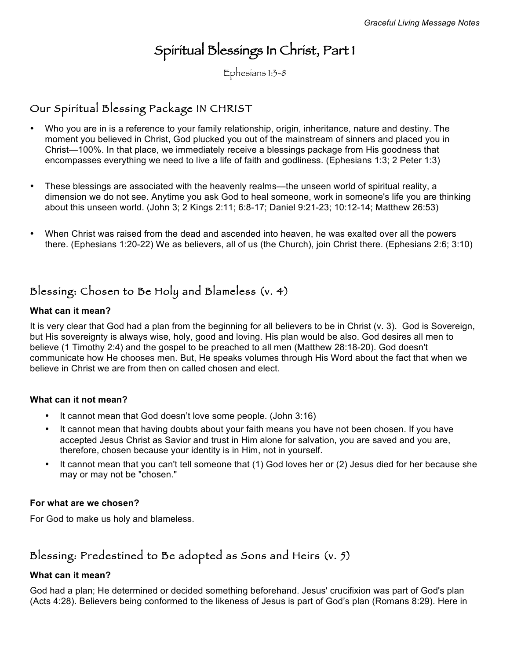# Spiritual Blessings In Christ, Part 1

Ephesians 1:3-8

# Our Spiritual Blessing Package IN CHRIST

- Who you are in is a reference to your family relationship, origin, inheritance, nature and destiny. The moment you believed in Christ, God plucked you out of the mainstream of sinners and placed you in Christ—100%. In that place, we immediately receive a blessings package from His goodness that encompasses everything we need to live a life of faith and godliness. (Ephesians 1:3; 2 Peter 1:3)
- These blessings are associated with the heavenly realms—the unseen world of spiritual reality, a dimension we do not see. Anytime you ask God to heal someone, work in someone's life you are thinking about this unseen world. (John 3; 2 Kings 2:11; 6:8-17; Daniel 9:21-23; 10:12-14; Matthew 26:53)
- When Christ was raised from the dead and ascended into heaven, he was exalted over all the powers there. (Ephesians 1:20-22) We as believers, all of us (the Church), join Christ there. (Ephesians 2:6; 3:10)

## Blessing: Chosen to Be Holy and Blameless (v. 4)

### **What can it mean?**

It is very clear that God had a plan from the beginning for all believers to be in Christ (v. 3). God is Sovereign, but His sovereignty is always wise, holy, good and loving. His plan would be also. God desires all men to believe (1 Timothy 2:4) and the gospel to be preached to all men (Matthew 28:18-20). God doesn't communicate how He chooses men. But, He speaks volumes through His Word about the fact that when we believe in Christ we are from then on called chosen and elect.

### **What can it not mean?**

- It cannot mean that God doesn't love some people. (John 3:16)
- It cannot mean that having doubts about your faith means you have not been chosen. If you have accepted Jesus Christ as Savior and trust in Him alone for salvation, you are saved and you are, therefore, chosen because your identity is in Him, not in yourself.
- It cannot mean that you can't tell someone that (1) God loves her or (2) Jesus died for her because she may or may not be "chosen."

### **For what are we chosen?**

For God to make us holy and blameless.

# Blessing: Predestined to Be adopted as Sons and Heirs (v. 5)

### **What can it mean?**

God had a plan; He determined or decided something beforehand. Jesus' crucifixion was part of God's plan (Acts 4:28). Believers being conformed to the likeness of Jesus is part of God's plan (Romans 8:29). Here in